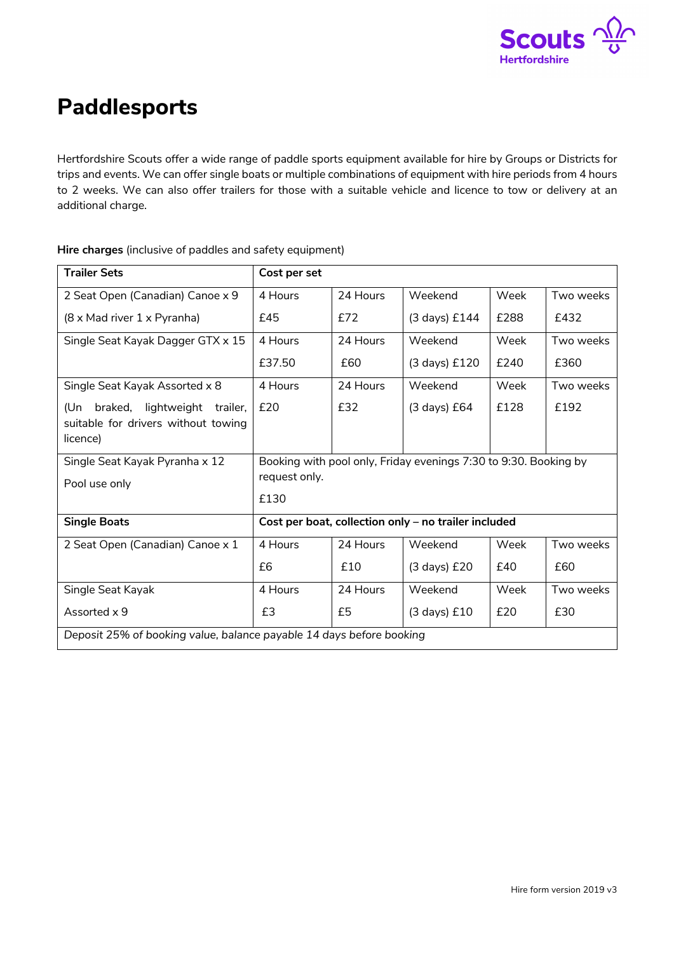

## **Paddlesports**

Hertfordshire Scouts offer a wide range of paddle sports equipment available for hire by Groups or Districts for trips and events. We can offer single boats or multiple combinations of equipment with hire periods from 4 hours to 2 weeks. We can also offer trailers for those with a suitable vehicle and licence to tow or delivery at an additional charge.

| <b>Trailer Sets</b>                                                                    | Cost per set                                                                              |          |                        |      |           |
|----------------------------------------------------------------------------------------|-------------------------------------------------------------------------------------------|----------|------------------------|------|-----------|
| 2 Seat Open (Canadian) Canoe x 9                                                       | 4 Hours                                                                                   | 24 Hours | Weekend                | Week | Two weeks |
| (8 x Mad river 1 x Pyranha)                                                            | £45                                                                                       | £72      | (3 days) £144          | £288 | £432      |
| Single Seat Kayak Dagger GTX x 15                                                      | 4 Hours                                                                                   | 24 Hours | Weekend                | Week | Two weeks |
|                                                                                        | £37.50                                                                                    | £60      | (3 days) £120          | £240 | £360      |
| Single Seat Kayak Assorted x 8                                                         | 4 Hours                                                                                   | 24 Hours | Weekend                | Week | Two weeks |
| braked, lightweight trailer,<br>(Un<br>suitable for drivers without towing<br>licence) | £20                                                                                       | £32      | $(3 \text{ days})$ £64 | £128 | £192      |
| Single Seat Kayak Pyranha x 12                                                         | Booking with pool only, Friday evenings 7:30 to 9:30. Booking by<br>request only.<br>£130 |          |                        |      |           |
| Pool use only                                                                          |                                                                                           |          |                        |      |           |
| <b>Single Boats</b>                                                                    | Cost per boat, collection only - no trailer included                                      |          |                        |      |           |
| 2 Seat Open (Canadian) Canoe x 1                                                       | 4 Hours                                                                                   | 24 Hours | Weekend                | Week | Two weeks |
|                                                                                        | £6                                                                                        | £10      | $(3 \text{ days})$ £20 | £40  | £60       |
| Single Seat Kayak                                                                      | 4 Hours                                                                                   | 24 Hours | Weekend                | Week | Two weeks |
| Assorted x 9                                                                           | £3                                                                                        | £5       | $(3$ days) $£10$       | £20  | £30       |
| Deposit 25% of booking value, balance payable 14 days before booking                   |                                                                                           |          |                        |      |           |

**Hire charges** (inclusive of paddles and safety equipment)